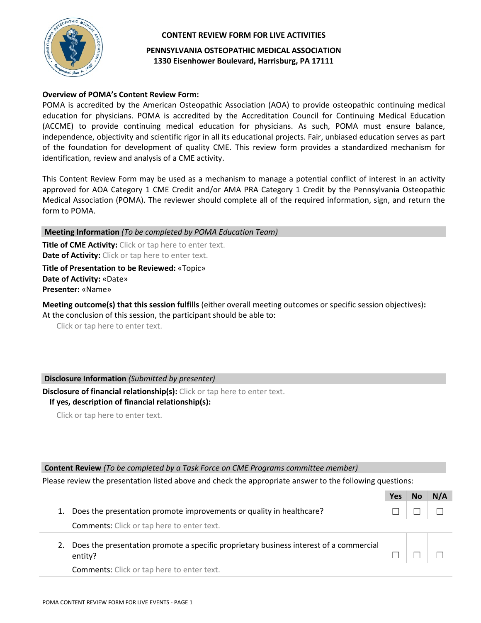

#### **CONTENT REVIEW FORM FOR LIVE ACTIVITIES**

**PENNSYLVANIA OSTEOPATHIC MEDICAL ASSOCIATION 1330 Eisenhower Boulevard, Harrisburg, PA 17111**

### **Overview of POMA's Content Review Form:**

POMA is accredited by the American Osteopathic Association (AOA) to provide osteopathic continuing medical education for physicians. POMA is accredited by the Accreditation Council for Continuing Medical Education (ACCME) to provide continuing medical education for physicians. As such, POMA must ensure balance, independence, objectivity and scientific rigor in all its educational projects. Fair, unbiased education serves as part of the foundation for development of quality CME. This review form provides a standardized mechanism for identification, review and analysis of a CME activity.

This Content Review Form may be used as a mechanism to manage a potential conflict of interest in an activity approved for AOA Category 1 CME Credit and/or AMA PRA Category 1 Credit by the Pennsylvania Osteopathic Medical Association (POMA). The reviewer should complete all of the required information, sign, and return the form to POMA.

**Meeting Information** *(To be completed by POMA Education Team)*

**Title of CME Activity:** Click or tap here to enter text. **Date of Activity:** Click or tap here to enter text.

**Title of Presentation to be Reviewed:** «Topic» **Date of Activity:** «Date» **Presenter:** «Name»

**Meeting outcome(s) that this session fulfills** (either overall meeting outcomes or specific session objectives)**:** At the conclusion of this session, the participant should be able to:

Click or tap here to enter text.

# **Disclosure Information** *(Submitted by presenter)*

**Disclosure of financial relationship(s):** Click or tap here to enter text. **If yes, description of financial relationship(s):** 

Click or tap here to enter text.

#### **Content Review** *(To be completed by a Task Force on CME Programs committee member)*

Please review the presentation listed above and check the appropriate answer to the following questions:

|                                                                                                   | Yes | N/A |
|---------------------------------------------------------------------------------------------------|-----|-----|
| Does the presentation promote improvements or quality in healthcare?                              |     |     |
| <b>Comments:</b> Click or tap here to enter text.                                                 |     |     |
| Does the presentation promote a specific proprietary business interest of a commercial<br>entity? |     |     |
| <b>Comments:</b> Click or tap here to enter text.                                                 |     |     |